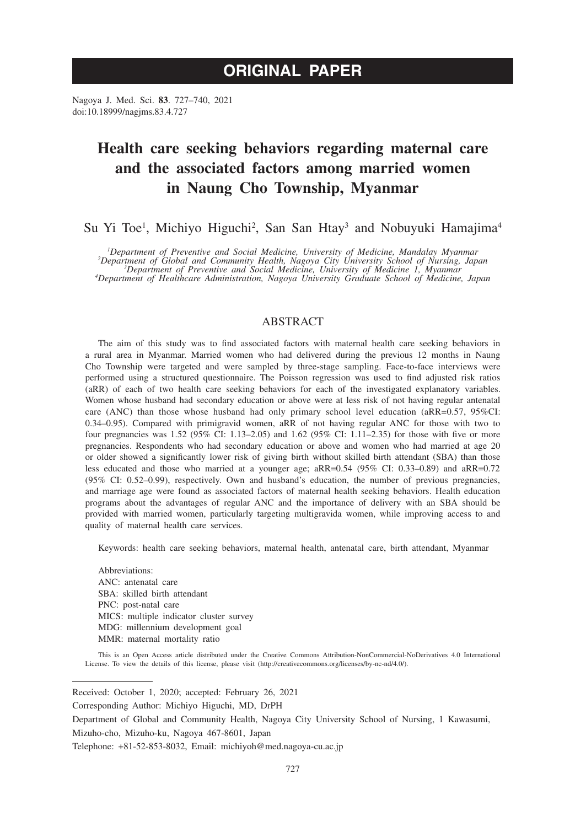Nagoya J. Med. Sci. **83**. 727–740, 2021 doi:10.18999/nagjms.83.4.727

# **Health care seeking behaviors regarding maternal care and the associated factors among married women in Naung Cho Township, Myanmar**

Su Yi Toe<sup>1</sup>, Michiyo Higuchi<sup>2</sup>, San San Htay<sup>3</sup> and Nobuyuki Hamajima<sup>4</sup>

<sup>1</sup>Department of Preventive and Social Medicine, University of Medicine, Mandalay Myanmar<br><sup>2</sup>Department of Global and Community Health, Nagoya City University School of Nursing, Japan<br><sup>3</sup>Department of Here Administration,

*Department of Healthcare Administration, Nagoya University Graduate School of Medicine, Japan*

# ABSTRACT

The aim of this study was to find associated factors with maternal health care seeking behaviors in a rural area in Myanmar. Married women who had delivered during the previous 12 months in Naung Cho Township were targeted and were sampled by three-stage sampling. Face-to-face interviews were performed using a structured questionnaire. The Poisson regression was used to find adjusted risk ratios (aRR) of each of two health care seeking behaviors for each of the investigated explanatory variables. Women whose husband had secondary education or above were at less risk of not having regular antenatal care (ANC) than those whose husband had only primary school level education (aRR=0.57, 95%CI: 0.34–0.95). Compared with primigravid women, aRR of not having regular ANC for those with two to four pregnancies was 1.52 (95% CI: 1.13–2.05) and 1.62 (95% CI: 1.11–2.35) for those with five or more pregnancies. Respondents who had secondary education or above and women who had married at age 20 or older showed a significantly lower risk of giving birth without skilled birth attendant (SBA) than those less educated and those who married at a younger age; aRR=0.54 (95% CI: 0.33–0.89) and aRR=0.72 (95% CI: 0.52–0.99), respectively. Own and husband's education, the number of previous pregnancies, and marriage age were found as associated factors of maternal health seeking behaviors. Health education programs about the advantages of regular ANC and the importance of delivery with an SBA should be provided with married women, particularly targeting multigravida women, while improving access to and quality of maternal health care services.

Keywords: health care seeking behaviors, maternal health, antenatal care, birth attendant, Myanmar

Abbreviations: ANC: antenatal care SBA: skilled birth attendant PNC: post-natal care MICS: multiple indicator cluster survey MDG: millennium development goal MMR: maternal mortality ratio

This is an Open Access article distributed under the Creative Commons Attribution-NonCommercial-NoDerivatives 4.0 International License. To view the details of this license, please visit (http://creativecommons.org/licenses/by-nc-nd/4.0/).

Received: October 1, 2020; accepted: February 26, 2021

Corresponding Author: Michiyo Higuchi, MD, DrPH

Department of Global and Community Health, Nagoya City University School of Nursing, 1 Kawasumi,

Mizuho-cho, Mizuho-ku, Nagoya 467-8601, Japan

Telephone: +81-52-853-8032, Email: michiyoh@med.nagoya-cu.ac.jp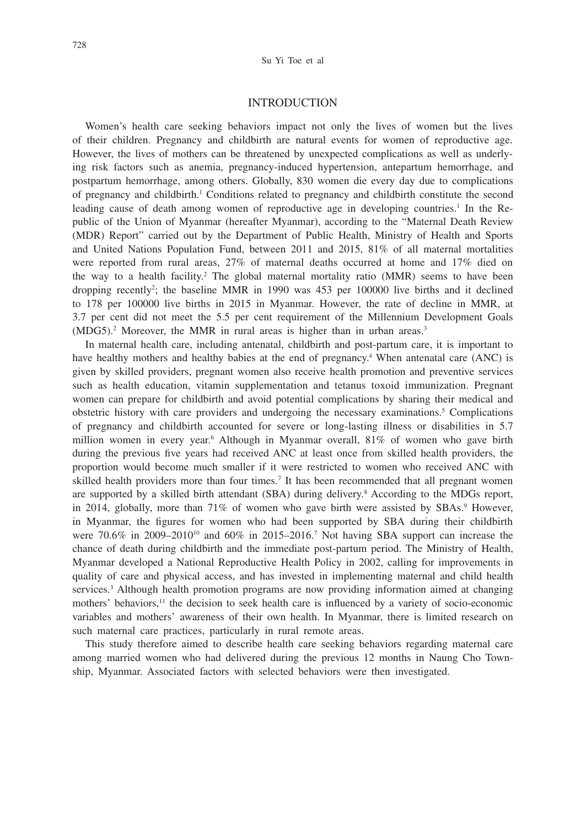## INTRODUCTION

Women's health care seeking behaviors impact not only the lives of women but the lives of their children. Pregnancy and childbirth are natural events for women of reproductive age. However, the lives of mothers can be threatened by unexpected complications as well as underlying risk factors such as anemia, pregnancy-induced hypertension, antepartum hemorrhage, and postpartum hemorrhage, among others. Globally, 830 women die every day due to complications of pregnancy and childbirth.<sup>1</sup> Conditions related to pregnancy and childbirth constitute the second leading cause of death among women of reproductive age in developing countries.<sup>1</sup> In the Republic of the Union of Myanmar (hereafter Myanmar), according to the "Maternal Death Review (MDR) Report" carried out by the Department of Public Health, Ministry of Health and Sports and United Nations Population Fund, between 2011 and 2015, 81% of all maternal mortalities were reported from rural areas, 27% of maternal deaths occurred at home and 17% died on the way to a health facility.<sup>2</sup> The global maternal mortality ratio  $(MMR)$  seems to have been dropping recently2 ; the baseline MMR in 1990 was 453 per 100000 live births and it declined to 178 per 100000 live births in 2015 in Myanmar. However, the rate of decline in MMR, at 3.7 per cent did not meet the 5.5 per cent requirement of the Millennium Development Goals (MDG5).<sup>2</sup> Moreover, the MMR in rural areas is higher than in urban areas.<sup>3</sup>

In maternal health care, including antenatal, childbirth and post-partum care, it is important to have healthy mothers and healthy babies at the end of pregnancy.<sup>4</sup> When antenatal care (ANC) is given by skilled providers, pregnant women also receive health promotion and preventive services such as health education, vitamin supplementation and tetanus toxoid immunization. Pregnant women can prepare for childbirth and avoid potential complications by sharing their medical and obstetric history with care providers and undergoing the necessary examinations.<sup>5</sup> Complications of pregnancy and childbirth accounted for severe or long-lasting illness or disabilities in 5.7 million women in every year.<sup>6</sup> Although in Myanmar overall, 81% of women who gave birth during the previous five years had received ANC at least once from skilled health providers, the proportion would become much smaller if it were restricted to women who received ANC with skilled health providers more than four times.<sup>7</sup> It has been recommended that all pregnant women are supported by a skilled birth attendant (SBA) during delivery.<sup>8</sup> According to the MDGs report, in 2014, globally, more than 71% of women who gave birth were assisted by SBAs.<sup>9</sup> However, in Myanmar, the figures for women who had been supported by SBA during their childbirth were  $70.6\%$  in 2009–2010<sup>10</sup> and 60% in 2015–2016.<sup>7</sup> Not having SBA support can increase the chance of death during childbirth and the immediate post-partum period. The Ministry of Health, Myanmar developed a National Reproductive Health Policy in 2002, calling for improvements in quality of care and physical access, and has invested in implementing maternal and child health services.<sup>3</sup> Although health promotion programs are now providing information aimed at changing mothers' behaviors, $<sup>11</sup>$  the decision to seek health care is influenced by a variety of socio-economic</sup> variables and mothers' awareness of their own health. In Myanmar, there is limited research on such maternal care practices, particularly in rural remote areas.

This study therefore aimed to describe health care seeking behaviors regarding maternal care among married women who had delivered during the previous 12 months in Naung Cho Township, Myanmar. Associated factors with selected behaviors were then investigated.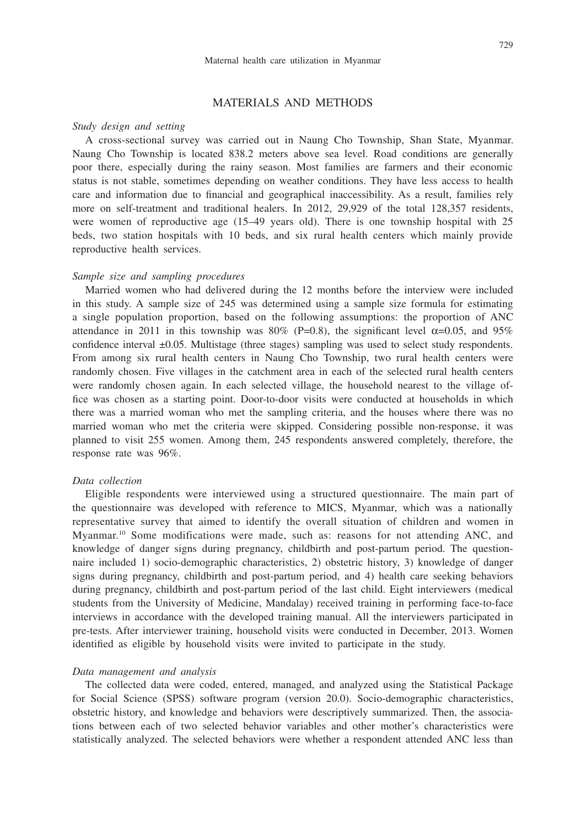## MATERIALS AND METHODS

#### *Study design and setting*

A cross-sectional survey was carried out in Naung Cho Township, Shan State, Myanmar. Naung Cho Township is located 838.2 meters above sea level. Road conditions are generally poor there, especially during the rainy season. Most families are farmers and their economic status is not stable, sometimes depending on weather conditions. They have less access to health care and information due to financial and geographical inaccessibility. As a result, families rely more on self-treatment and traditional healers. In 2012, 29,929 of the total 128,357 residents, were women of reproductive age (15–49 years old). There is one township hospital with 25 beds, two station hospitals with 10 beds, and six rural health centers which mainly provide reproductive health services.

## *Sample size and sampling procedures*

Married women who had delivered during the 12 months before the interview were included in this study. A sample size of 245 was determined using a sample size formula for estimating a single population proportion, based on the following assumptions: the proportion of ANC attendance in 2011 in this township was 80% (P=0.8), the significant level  $\alpha$ =0.05, and 95% confidence interval ±0.05. Multistage (three stages) sampling was used to select study respondents. From among six rural health centers in Naung Cho Township, two rural health centers were randomly chosen. Five villages in the catchment area in each of the selected rural health centers were randomly chosen again. In each selected village, the household nearest to the village office was chosen as a starting point. Door-to-door visits were conducted at households in which there was a married woman who met the sampling criteria, and the houses where there was no married woman who met the criteria were skipped. Considering possible non-response, it was planned to visit 255 women. Among them, 245 respondents answered completely, therefore, the response rate was 96%.

## *Data collection*

Eligible respondents were interviewed using a structured questionnaire. The main part of the questionnaire was developed with reference to MICS, Myanmar, which was a nationally representative survey that aimed to identify the overall situation of children and women in Myanmar.10 Some modifications were made, such as: reasons for not attending ANC, and knowledge of danger signs during pregnancy, childbirth and post-partum period. The questionnaire included 1) socio-demographic characteristics, 2) obstetric history, 3) knowledge of danger signs during pregnancy, childbirth and post-partum period, and 4) health care seeking behaviors during pregnancy, childbirth and post-partum period of the last child. Eight interviewers (medical students from the University of Medicine, Mandalay) received training in performing face-to-face interviews in accordance with the developed training manual. All the interviewers participated in pre-tests. After interviewer training, household visits were conducted in December, 2013. Women identified as eligible by household visits were invited to participate in the study.

#### *Data management and analysis*

The collected data were coded, entered, managed, and analyzed using the Statistical Package for Social Science (SPSS) software program (version 20.0). Socio-demographic characteristics, obstetric history, and knowledge and behaviors were descriptively summarized. Then, the associations between each of two selected behavior variables and other mother's characteristics were statistically analyzed. The selected behaviors were whether a respondent attended ANC less than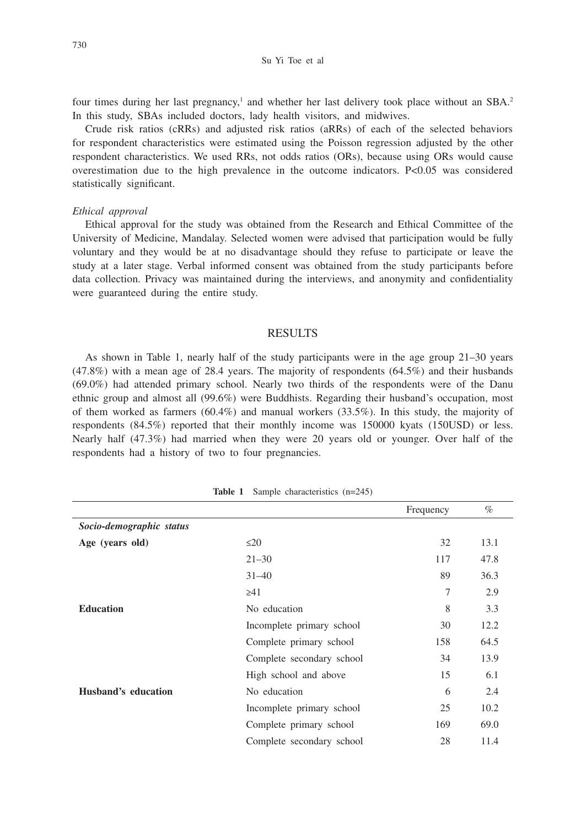Su Yi Toe et al

four times during her last pregnancy,<sup>1</sup> and whether her last delivery took place without an SBA.<sup>2</sup> In this study, SBAs included doctors, lady health visitors, and midwives.

Crude risk ratios (cRRs) and adjusted risk ratios (aRRs) of each of the selected behaviors for respondent characteristics were estimated using the Poisson regression adjusted by the other respondent characteristics. We used RRs, not odds ratios (ORs), because using ORs would cause overestimation due to the high prevalence in the outcome indicators.  $P<0.05$  was considered statistically significant.

#### *Ethical approval*

Ethical approval for the study was obtained from the Research and Ethical Committee of the University of Medicine, Mandalay. Selected women were advised that participation would be fully voluntary and they would be at no disadvantage should they refuse to participate or leave the study at a later stage. Verbal informed consent was obtained from the study participants before data collection. Privacy was maintained during the interviews, and anonymity and confidentiality were guaranteed during the entire study.

#### RESULTS

As shown in Table 1, nearly half of the study participants were in the age group 21–30 years (47.8%) with a mean age of 28.4 years. The majority of respondents (64.5%) and their husbands (69.0%) had attended primary school. Nearly two thirds of the respondents were of the Danu ethnic group and almost all (99.6%) were Buddhists. Regarding their husband's occupation, most of them worked as farmers (60.4%) and manual workers (33.5%). In this study, the majority of respondents (84.5%) reported that their monthly income was 150000 kyats (150USD) or less. Nearly half (47.3%) had married when they were 20 years old or younger. Over half of the respondents had a history of two to four pregnancies.

|                          |                           | Frequency | $\%$ |
|--------------------------|---------------------------|-----------|------|
| Socio-demographic status |                           |           |      |
| Age (years old)          | $\leq$ 20                 | 32        | 13.1 |
|                          | $21 - 30$                 | 117       | 47.8 |
|                          | $31 - 40$                 | 89        | 36.3 |
|                          | $\geq 41$                 | 7         | 2.9  |
| <b>Education</b>         | No education              | 8         | 3.3  |
|                          | Incomplete primary school | 30        | 12.2 |
|                          | Complete primary school   | 158       | 64.5 |
|                          | Complete secondary school | 34        | 13.9 |
|                          | High school and above     | 15        | 6.1  |
| Husband's education      | No education              | 6         | 2.4  |
|                          | Incomplete primary school | 25        | 10.2 |
|                          | Complete primary school   | 169       | 69.0 |
|                          | Complete secondary school | 28        | 11.4 |

**Table 1** Sample characteristics (n=245)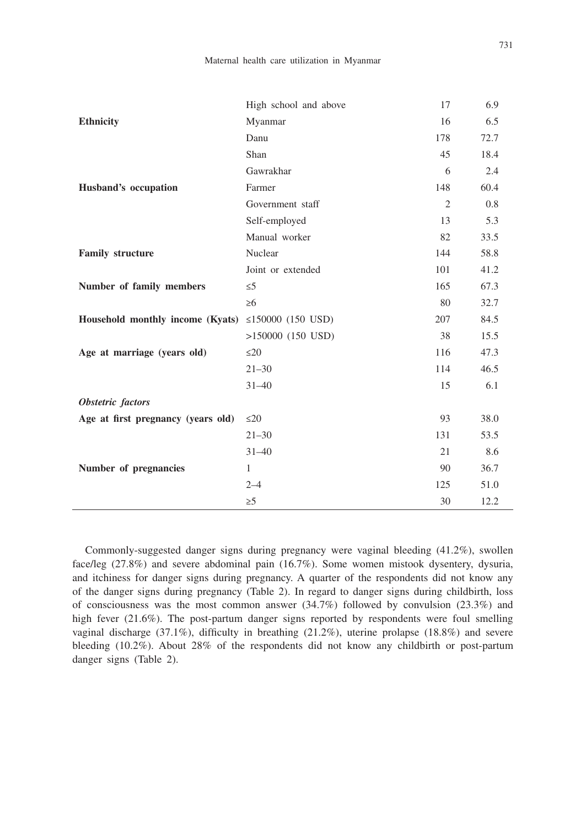|                                    | High school and above | 17             | 6.9  |
|------------------------------------|-----------------------|----------------|------|
| <b>Ethnicity</b>                   | Myanmar               | 16             | 6.5  |
|                                    | Danu                  | 178            | 72.7 |
|                                    | Shan                  | 45             | 18.4 |
|                                    | Gawrakhar             | 6              | 2.4  |
| Husband's occupation               | Farmer                | 148            | 60.4 |
|                                    | Government staff      | $\overline{2}$ | 0.8  |
|                                    | Self-employed         | 13             | 5.3  |
|                                    | Manual worker         | 82             | 33.5 |
| <b>Family structure</b>            | Nuclear               | 144            | 58.8 |
|                                    | Joint or extended     | 101            | 41.2 |
| Number of family members           | $\leq 5$              | 165            | 67.3 |
|                                    | $\geq 6$              | 80             | 32.7 |
| Household monthly income (Kyats)   | ≤150000 $(150$ USD)   | 207            | 84.5 |
|                                    | $>150000$ (150 USD)   | 38             | 15.5 |
| Age at marriage (years old)        | $\leq$ 20             | 116            | 47.3 |
|                                    | $21 - 30$             | 114            | 46.5 |
|                                    | $31 - 40$             | 15             | 6.1  |
| Obstetric factors                  |                       |                |      |
| Age at first pregnancy (years old) | $\leq$ 20             | 93             | 38.0 |
|                                    | $21 - 30$             | 131            | 53.5 |
|                                    | $31 - 40$             | 21             | 8.6  |
| Number of pregnancies              | $\mathbf{1}$          | 90             | 36.7 |
|                                    | $2 - 4$               | 125            | 51.0 |
|                                    | $\geq 5$              | 30             | 12.2 |

Commonly-suggested danger signs during pregnancy were vaginal bleeding (41.2%), swollen face/leg (27.8%) and severe abdominal pain (16.7%). Some women mistook dysentery, dysuria, and itchiness for danger signs during pregnancy. A quarter of the respondents did not know any of the danger signs during pregnancy (Table 2). In regard to danger signs during childbirth, loss of consciousness was the most common answer (34.7%) followed by convulsion (23.3%) and high fever (21.6%). The post-partum danger signs reported by respondents were foul smelling vaginal discharge (37.1%), difficulty in breathing (21.2%), uterine prolapse (18.8%) and severe bleeding (10.2%). About 28% of the respondents did not know any childbirth or post-partum danger signs (Table 2).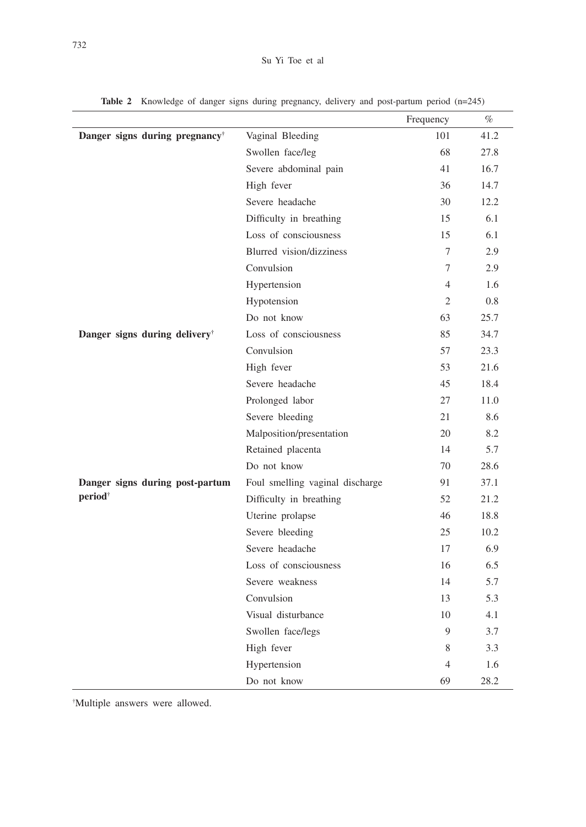|                                            |                                 | Frequency      | %    |
|--------------------------------------------|---------------------------------|----------------|------|
| Danger signs during pregnancy <sup>†</sup> | Vaginal Bleeding                | 101            | 41.2 |
|                                            | Swollen face/leg                | 68             | 27.8 |
|                                            | Severe abdominal pain           | 41             | 16.7 |
|                                            | High fever                      | 36             | 14.7 |
|                                            | Severe headache                 | 30             | 12.2 |
|                                            | Difficulty in breathing         | 15             | 6.1  |
|                                            | Loss of consciousness           | 15             | 6.1  |
|                                            | Blurred vision/dizziness        | 7              | 2.9  |
|                                            | Convulsion                      | 7              | 2.9  |
|                                            | Hypertension                    | $\overline{4}$ | 1.6  |
|                                            | Hypotension                     | 2              | 0.8  |
|                                            | Do not know                     | 63             | 25.7 |
| Danger signs during delivery <sup>†</sup>  | Loss of consciousness           | 85             | 34.7 |
|                                            | Convulsion                      | 57             | 23.3 |
|                                            | High fever                      | 53             | 21.6 |
|                                            | Severe headache                 | 45             | 18.4 |
|                                            | Prolonged labor                 | 27             | 11.0 |
|                                            | Severe bleeding                 | 21             | 8.6  |
|                                            | Malposition/presentation        | 20             | 8.2  |
|                                            | Retained placenta               | 14             | 5.7  |
|                                            | Do not know                     | 70             | 28.6 |
| Danger signs during post-partum            | Foul smelling vaginal discharge | 91             | 37.1 |
| period <sup>†</sup>                        | Difficulty in breathing         | 52             | 21.2 |
|                                            | Uterine prolapse                | 46             | 18.8 |
|                                            | Severe bleeding                 | 25             | 10.2 |
|                                            | Severe headache                 | 17             | 6.9  |
|                                            | Loss of consciousness           | 16             | 6.5  |
|                                            | Severe weakness                 | 14             | 5.7  |
|                                            | Convulsion                      | 13             | 5.3  |
|                                            | Visual disturbance              | 10             | 4.1  |
|                                            | Swollen face/legs               | 9              | 3.7  |
|                                            | High fever                      | 8              | 3.3  |
|                                            | Hypertension                    | $\overline{4}$ | 1.6  |
|                                            | Do not know                     | 69             | 28.2 |

Table 2 Knowledge of danger signs during pregnancy, delivery and post-partum period (n=245)

† Multiple answers were allowed.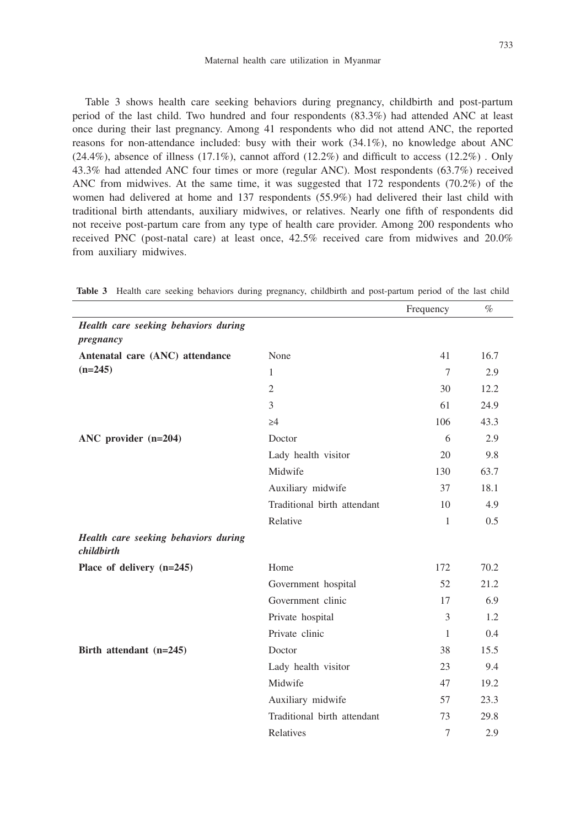Table 3 shows health care seeking behaviors during pregnancy, childbirth and post-partum period of the last child. Two hundred and four respondents (83.3%) had attended ANC at least once during their last pregnancy. Among 41 respondents who did not attend ANC, the reported reasons for non-attendance included: busy with their work (34.1%), no knowledge about ANC  $(24.4\%)$ , absence of illness  $(17.1\%)$ , cannot afford  $(12.2\%)$  and difficult to access  $(12.2\%)$ . Only 43.3% had attended ANC four times or more (regular ANC). Most respondents (63.7%) received ANC from midwives. At the same time, it was suggested that 172 respondents (70.2%) of the women had delivered at home and 137 respondents (55.9%) had delivered their last child with traditional birth attendants, auxiliary midwives, or relatives. Nearly one fifth of respondents did not receive post-partum care from any type of health care provider. Among 200 respondents who received PNC (post-natal care) at least once, 42.5% received care from midwives and 20.0% from auxiliary midwives.

|                                                    |                             | Frequency | $\%$ |
|----------------------------------------------------|-----------------------------|-----------|------|
| Health care seeking behaviors during<br>pregnancy  |                             |           |      |
| Antenatal care (ANC) attendance                    | None                        | 41        | 16.7 |
| $(n=245)$                                          | $\mathbf{1}$                | $\tau$    | 2.9  |
|                                                    | 2                           | 30        | 12.2 |
|                                                    | 3                           | 61        | 24.9 |
|                                                    | $\geq 4$                    | 106       | 43.3 |
| ANC provider (n=204)                               | Doctor                      | 6         | 2.9  |
|                                                    | Lady health visitor         | 20        | 9.8  |
|                                                    | Midwife                     | 130       | 63.7 |
|                                                    | Auxiliary midwife           | 37        | 18.1 |
|                                                    | Traditional birth attendant | 10        | 4.9  |
|                                                    | Relative                    | 1         | 0.5  |
| Health care seeking behaviors during<br>childbirth |                             |           |      |
| Place of delivery (n=245)                          | Home                        | 172       | 70.2 |
|                                                    | Government hospital         | 52        | 21.2 |
|                                                    | Government clinic           | 17        | 6.9  |
|                                                    | Private hospital            | 3         | 1.2  |
|                                                    | Private clinic              | 1         | 0.4  |
| Birth attendant (n=245)                            | Doctor                      | 38        | 15.5 |
|                                                    | Lady health visitor         | 23        | 9.4  |
|                                                    | Midwife                     | 47        | 19.2 |
|                                                    | Auxiliary midwife           | 57        | 23.3 |
|                                                    | Traditional birth attendant | 73        | 29.8 |
|                                                    | Relatives                   | 7         | 2.9  |
|                                                    |                             |           |      |

**Table 3** Health care seeking behaviors during pregnancy, childbirth and post-partum period of the last child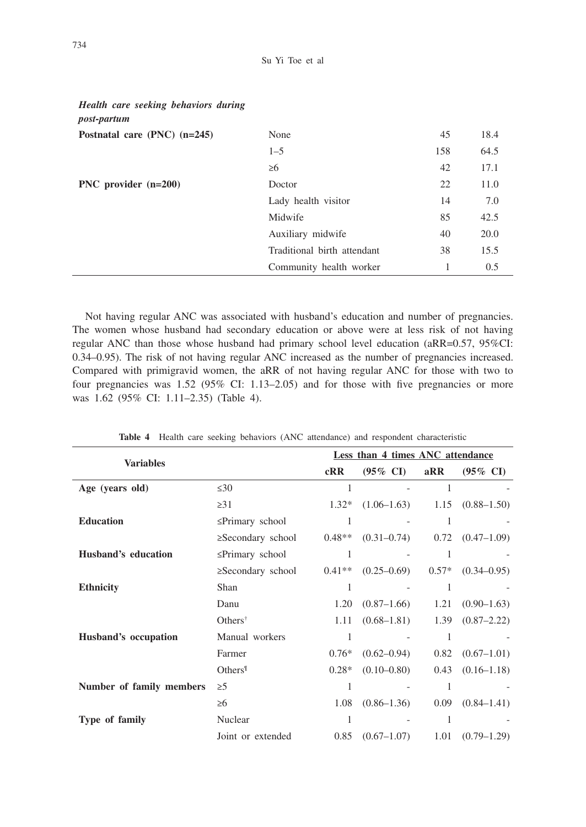| <i>post-partum</i>               |                             |     |      |
|----------------------------------|-----------------------------|-----|------|
| Postnatal care $(PNC)$ $(n=245)$ | None                        | 45  | 18.4 |
|                                  | $1 - 5$                     | 158 | 64.5 |
|                                  | $\geq 6$                    | 42  | 17.1 |
| PNC provider $(n=200)$           | Doctor                      | 22  | 11.0 |
|                                  | Lady health visitor         | 14  | 7.0  |
|                                  | Midwife                     | 85  | 42.5 |
|                                  | Auxiliary midwife           | 40  | 20.0 |
|                                  | Traditional birth attendant | 38  | 15.5 |
|                                  | Community health worker     |     | 0.5  |

Not having regular ANC was associated with husband's education and number of pregnancies. The women whose husband had secondary education or above were at less risk of not having regular ANC than those whose husband had primary school level education (aRR=0.57, 95%CI: 0.34–0.95). The risk of not having regular ANC increased as the number of pregnancies increased. Compared with primigravid women, the aRR of not having regular ANC for those with two to four pregnancies was 1.52 (95% CI: 1.13–2.05) and for those with five pregnancies or more was 1.62 (95% CI: 1.11–2.35) (Table 4).

|                          |                                        |          | Less than 4 times ANC attendance |         |                      |
|--------------------------|----------------------------------------|----------|----------------------------------|---------|----------------------|
| <b>Variables</b>         |                                        | cRR      | $(95\% \text{ CI})$              | aRR     | $(95\% \text{ CI})$  |
| Age (years old)          | $\leq 30$                              | 1        |                                  | 1       |                      |
|                          | $\geq$ 31                              | $1.32*$  | $(1.06-1.63)$                    |         | $1.15$ $(0.88-1.50)$ |
| <b>Education</b>         | $\leq$ Primary school                  | 1        |                                  | 1       |                      |
|                          | $\geq$ Secondary school                | $0.48**$ | $(0.31 - 0.74)$                  |         | $0.72$ $(0.47-1.09)$ |
| Husband's education      | ≤Primary school                        | 1        |                                  | 1       |                      |
|                          | $\geq$ Secondary school                | $0.41**$ | $(0.25 - 0.69)$                  | $0.57*$ | $(0.34 - 0.95)$      |
| <b>Ethnicity</b>         | Shan                                   | 1        |                                  | 1       |                      |
|                          | Danu                                   | 1.20     | $(0.87-1.66)$                    | 1.21    | $(0.90 - 1.63)$      |
|                          | Others <sup><math>\dagger</math></sup> | 1.11     | $(0.68 - 1.81)$                  | 1.39    | $(0.87 - 2.22)$      |
| Husband's occupation     | Manual workers                         | 1        |                                  | 1       |                      |
|                          | Farmer                                 | $0.76*$  | $(0.62 - 0.94)$                  | 0.82    | $(0.67-1.01)$        |
|                          | Others <sup>1</sup>                    | $0.28*$  | $(0.10 - 0.80)$                  | 0.43    | $(0.16 - 1.18)$      |
| Number of family members | $\geq 5$                               | 1        |                                  | 1       |                      |
|                          | $\geq 6$                               | 1.08     | $(0.86 - 1.36)$                  | 0.09    | $(0.84 - 1.41)$      |
| Type of family           | Nuclear                                | 1        |                                  | 1       |                      |
|                          | Joint or extended                      | 0.85     | $(0.67 - 1.07)$                  | 1.01    | $(0.79 - 1.29)$      |

**Table 4** Health care seeking behaviors (ANC attendance) and respondent characteristic

*Health care seeking behaviors during*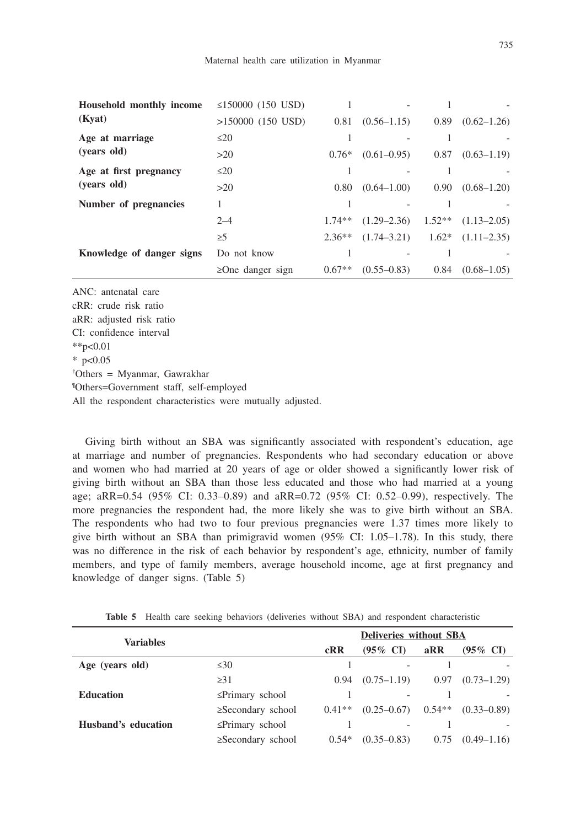| Household monthly income  | ≤150000 $(150$ USD)    |          |                 |                |                       |
|---------------------------|------------------------|----------|-----------------|----------------|-----------------------|
| (Kyat)                    | $>150000$ (150 USD)    | 0.81     | $(0.56 - 1.15)$ | 0.89           | $(0.62 - 1.26)$       |
| Age at marriage           | $\leq$ 20              |          |                 |                |                       |
| (years old)               | >20                    | $0.76*$  | $(0.61 - 0.95)$ | 0.87           | $(0.63 - 1.19)$       |
| Age at first pregnancy    | $\leq$ 20              |          |                 |                |                       |
| (years old)               | >20                    | 0.80     | $(0.64 - 1.00)$ | $0.90^{\circ}$ | $(0.68 - 1.20)$       |
| Number of pregnancies     |                        |          |                 |                |                       |
|                           | $2 - 4$                | $1.74**$ | $(1.29 - 2.36)$ | $1.52**$       | $(1.13 - 2.05)$       |
|                           | $\geq 5$               | $2.36**$ | $(1.74 - 3.21)$ |                | $1.62*$ $(1.11-2.35)$ |
| Knowledge of danger signs | Do not know            |          |                 |                |                       |
|                           | $\geq$ One danger sign | $0.67**$ | $(0.55 - 0.83)$ | 0.84           | $(0.68 - 1.05)$       |

ANC: antenatal care cRR: crude risk ratio aRR: adjusted risk ratio CI: confidence interval  $*$  $p<0.01$  $*$  p<0.05 † Others = Myanmar, Gawrakhar ¶ Others=Government staff, self-employed All the respondent characteristics were mutually adjusted.

Giving birth without an SBA was significantly associated with respondent's education, age at marriage and number of pregnancies. Respondents who had secondary education or above and women who had married at 20 years of age or older showed a significantly lower risk of giving birth without an SBA than those less educated and those who had married at a young age; aRR=0.54 (95% CI: 0.33–0.89) and aRR=0.72 (95% CI: 0.52–0.99), respectively. The more pregnancies the respondent had, the more likely she was to give birth without an SBA. The respondents who had two to four previous pregnancies were 1.37 times more likely to give birth without an SBA than primigravid women  $(95\%$  CI:  $1.05-1.78$ ). In this study, there was no difference in the risk of each behavior by respondent's age, ethnicity, number of family members, and type of family members, average household income, age at first pregnancy and knowledge of danger signs. (Table 5)

| <b>Variables</b>    |                         | Deliveries without SBA |                     |          |                     |
|---------------------|-------------------------|------------------------|---------------------|----------|---------------------|
|                     |                         | cRR                    | $(95\% \text{ CI})$ | aRR      | $(95\% \text{ CI})$ |
| Age (years old)     | $\leq 30$               |                        |                     |          |                     |
|                     | $\geq$ 31               | 0.94                   | $(0.75 - 1.19)$     | 0.97     | $(0.73 - 1.29)$     |
| <b>Education</b>    | $\leq$ Primary school   |                        |                     |          |                     |
|                     | $\geq$ Secondary school | $0.41**$               | $(0.25 - 0.67)$     | $0.54**$ | $(0.33 - 0.89)$     |
| Husband's education | $\leq$ Primary school   |                        |                     |          |                     |
|                     | $\geq$ Secondary school | $0.54*$                | $(0.35 - 0.83)$     | 0.75     | $(0.49 - 1.16)$     |

Table 5 Health care seeking behaviors (deliveries without SBA) and respondent characteristic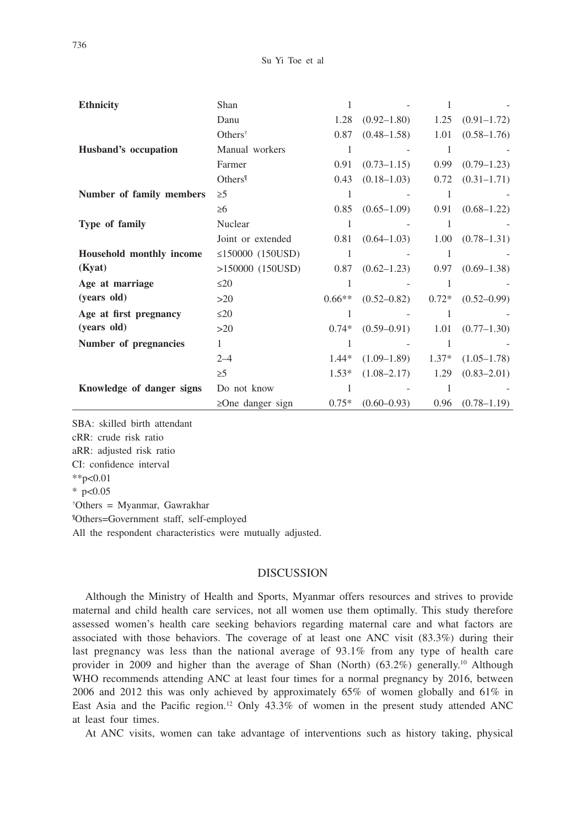| <b>Ethnicity</b>          | Shan                   |          |                 |         |                 |
|---------------------------|------------------------|----------|-----------------|---------|-----------------|
|                           | Danu                   | 1.28     | $(0.92 - 1.80)$ | 1.25    | $(0.91 - 1.72)$ |
|                           | Others <sup>†</sup>    | 0.87     | $(0.48 - 1.58)$ | 1.01    | $(0.58 - 1.76)$ |
| Husband's occupation      | Manual workers         | 1        |                 | 1       |                 |
|                           | Farmer                 | 0.91     | $(0.73 - 1.15)$ | 0.99    | $(0.79 - 1.23)$ |
|                           | Others <sup>1</sup>    | 0.43     | $(0.18 - 1.03)$ | 0.72    | $(0.31 - 1.71)$ |
| Number of family members  | $\geq 5$               |          |                 |         |                 |
|                           | $\geq 6$               | 0.85     | $(0.65 - 1.09)$ | 0.91    | $(0.68 - 1.22)$ |
| Type of family            | Nuclear                | 1        |                 | 1       |                 |
|                           | Joint or extended      | 0.81     | $(0.64 - 1.03)$ | 1.00    | $(0.78 - 1.31)$ |
| Household monthly income  | ≤150000 $(150USD)$     | 1        |                 | 1       |                 |
| (Kyat)                    | $>150000$ (150USD)     | 0.87     | $(0.62 - 1.23)$ | 0.97    | $(0.69 - 1.38)$ |
| Age at marriage           | $\leq$ 20              | 1        |                 |         |                 |
| (years old)               | >20                    | $0.66**$ | $(0.52 - 0.82)$ | $0.72*$ | $(0.52 - 0.99)$ |
| Age at first pregnancy    | $\leq$ 20              | 1        |                 |         |                 |
| (years old)               | >20                    | $0.74*$  | $(0.59 - 0.91)$ | 1.01    | $(0.77 - 1.30)$ |
| Number of pregnancies     | $\mathbf{1}$           | 1        |                 |         |                 |
|                           | $2 - 4$                | $1.44*$  | $(1.09-1.89)$   | $1.37*$ | $(1.05 - 1.78)$ |
|                           | $\geq 5$               | $1.53*$  | $(1.08 - 2.17)$ | 1.29    | $(0.83 - 2.01)$ |
| Knowledge of danger signs | Do not know            | 1        |                 | 1       |                 |
|                           | $\geq$ One danger sign | $0.75*$  | $(0.60 - 0.93)$ | 0.96    | $(0.78 - 1.19)$ |

SBA: skilled birth attendant cRR: crude risk ratio aRR: adjusted risk ratio CI: confidence interval  $*p<0.01$  $*$  p<0.05 † Others = Myanmar, Gawrakhar ¶ Others=Government staff, self-employed

All the respondent characteristics were mutually adjusted.

## DISCUSSION

Although the Ministry of Health and Sports, Myanmar offers resources and strives to provide maternal and child health care services, not all women use them optimally. This study therefore assessed women's health care seeking behaviors regarding maternal care and what factors are associated with those behaviors. The coverage of at least one ANC visit (83.3%) during their last pregnancy was less than the national average of 93.1% from any type of health care provider in 2009 and higher than the average of Shan (North)  $(63.2\%)$  generally.<sup>10</sup> Although WHO recommends attending ANC at least four times for a normal pregnancy by 2016, between 2006 and 2012 this was only achieved by approximately 65% of women globally and 61% in East Asia and the Pacific region.12 Only 43.3% of women in the present study attended ANC at least four times.

At ANC visits, women can take advantage of interventions such as history taking, physical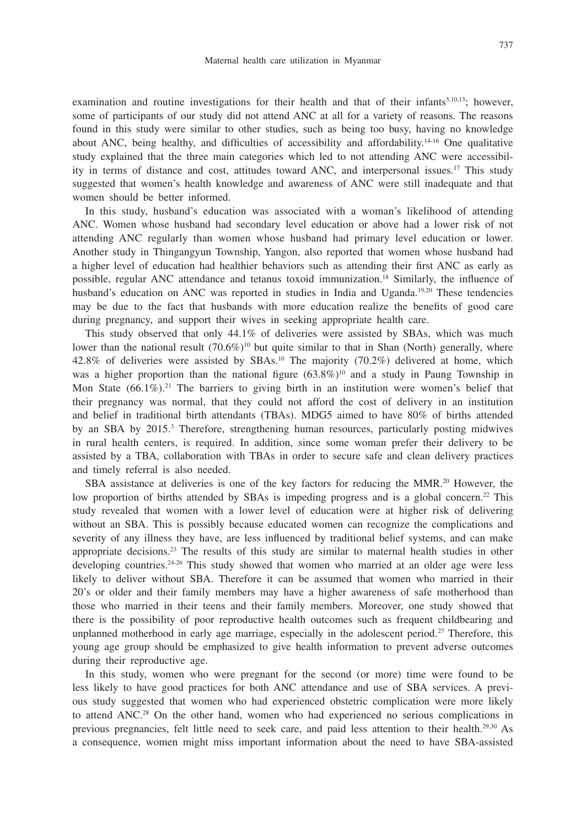examination and routine investigations for their health and that of their infants<sup>5,10,13</sup>; however, some of participants of our study did not attend ANC at all for a variety of reasons. The reasons found in this study were similar to other studies, such as being too busy, having no knowledge about ANC, being healthy, and difficulties of accessibility and affordability.14-16 One qualitative study explained that the three main categories which led to not attending ANC were accessibility in terms of distance and cost, attitudes toward ANC, and interpersonal issues.17 This study suggested that women's health knowledge and awareness of ANC were still inadequate and that women should be better informed.

In this study, husband's education was associated with a woman's likelihood of attending ANC. Women whose husband had secondary level education or above had a lower risk of not attending ANC regularly than women whose husband had primary level education or lower. Another study in Thingangyun Township, Yangon, also reported that women whose husband had a higher level of education had healthier behaviors such as attending their first ANC as early as possible, regular ANC attendance and tetanus toxoid immunization.18 Similarly, the influence of husband's education on ANC was reported in studies in India and Uganda.<sup>19,20</sup> These tendencies may be due to the fact that husbands with more education realize the benefits of good care during pregnancy, and support their wives in seeking appropriate health care.

This study observed that only 44.1% of deliveries were assisted by SBAs, which was much lower than the national result  $(70.6\%)^{10}$  but quite similar to that in Shan (North) generally, where 42.8% of deliveries were assisted by  $SBAs<sup>10</sup>$ . The majority (70.2%) delivered at home, which was a higher proportion than the national figure  $(63.8\%)^{10}$  and a study in Paung Township in Mon State  $(66.1\%)$ <sup>21</sup>. The barriers to giving birth in an institution were women's belief that their pregnancy was normal, that they could not afford the cost of delivery in an institution and belief in traditional birth attendants (TBAs). MDG5 aimed to have 80% of births attended by an SBA by 2015.<sup>3</sup> Therefore, strengthening human resources, particularly posting midwives in rural health centers, is required. In addition, since some woman prefer their delivery to be assisted by a TBA, collaboration with TBAs in order to secure safe and clean delivery practices and timely referral is also needed.

SBA assistance at deliveries is one of the key factors for reducing the MMR.<sup>20</sup> However, the low proportion of births attended by SBAs is impeding progress and is a global concern.<sup>22</sup> This study revealed that women with a lower level of education were at higher risk of delivering without an SBA. This is possibly because educated women can recognize the complications and severity of any illness they have, are less influenced by traditional belief systems, and can make appropriate decisions.23 The results of this study are similar to maternal health studies in other developing countries.<sup>24-26</sup> This study showed that women who married at an older age were less likely to deliver without SBA. Therefore it can be assumed that women who married in their 20's or older and their family members may have a higher awareness of safe motherhood than those who married in their teens and their family members. Moreover, one study showed that there is the possibility of poor reproductive health outcomes such as frequent childbearing and unplanned motherhood in early age marriage, especially in the adolescent period.<sup>27</sup> Therefore, this young age group should be emphasized to give health information to prevent adverse outcomes during their reproductive age.

In this study, women who were pregnant for the second (or more) time were found to be less likely to have good practices for both ANC attendance and use of SBA services. A previous study suggested that women who had experienced obstetric complication were more likely to attend ANC.<sup>28</sup> On the other hand, women who had experienced no serious complications in previous pregnancies, felt little need to seek care, and paid less attention to their health.29,30 As a consequence, women might miss important information about the need to have SBA-assisted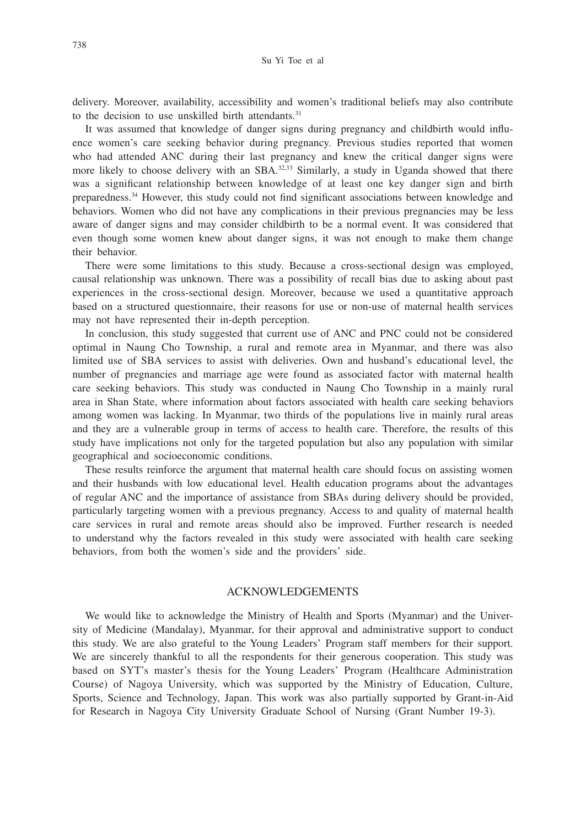delivery. Moreover, availability, accessibility and women's traditional beliefs may also contribute to the decision to use unskilled birth attendants.<sup>31</sup>

It was assumed that knowledge of danger signs during pregnancy and childbirth would influence women's care seeking behavior during pregnancy. Previous studies reported that women who had attended ANC during their last pregnancy and knew the critical danger signs were more likely to choose delivery with an SBA.<sup>32,33</sup> Similarly, a study in Uganda showed that there was a significant relationship between knowledge of at least one key danger sign and birth preparedness.34 However, this study could not find significant associations between knowledge and behaviors. Women who did not have any complications in their previous pregnancies may be less aware of danger signs and may consider childbirth to be a normal event. It was considered that even though some women knew about danger signs, it was not enough to make them change their behavior.

There were some limitations to this study. Because a cross-sectional design was employed, causal relationship was unknown. There was a possibility of recall bias due to asking about past experiences in the cross-sectional design. Moreover, because we used a quantitative approach based on a structured questionnaire, their reasons for use or non-use of maternal health services may not have represented their in-depth perception.

In conclusion, this study suggested that current use of ANC and PNC could not be considered optimal in Naung Cho Township, a rural and remote area in Myanmar, and there was also limited use of SBA services to assist with deliveries. Own and husband's educational level, the number of pregnancies and marriage age were found as associated factor with maternal health care seeking behaviors. This study was conducted in Naung Cho Township in a mainly rural area in Shan State, where information about factors associated with health care seeking behaviors among women was lacking. In Myanmar, two thirds of the populations live in mainly rural areas and they are a vulnerable group in terms of access to health care. Therefore, the results of this study have implications not only for the targeted population but also any population with similar geographical and socioeconomic conditions.

These results reinforce the argument that maternal health care should focus on assisting women and their husbands with low educational level. Health education programs about the advantages of regular ANC and the importance of assistance from SBAs during delivery should be provided, particularly targeting women with a previous pregnancy. Access to and quality of maternal health care services in rural and remote areas should also be improved. Further research is needed to understand why the factors revealed in this study were associated with health care seeking behaviors, from both the women's side and the providers' side.

## ACKNOWLEDGEMENTS

We would like to acknowledge the Ministry of Health and Sports (Myanmar) and the University of Medicine (Mandalay), Myanmar, for their approval and administrative support to conduct this study. We are also grateful to the Young Leaders' Program staff members for their support. We are sincerely thankful to all the respondents for their generous cooperation. This study was based on SYT's master's thesis for the Young Leaders' Program (Healthcare Administration Course) of Nagoya University, which was supported by the Ministry of Education, Culture, Sports, Science and Technology, Japan. This work was also partially supported by Grant-in-Aid for Research in Nagoya City University Graduate School of Nursing (Grant Number 19-3).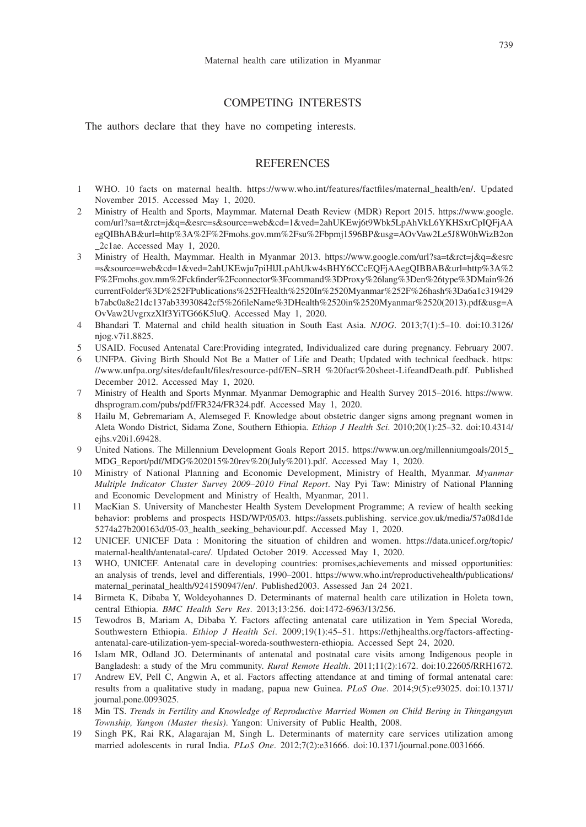## COMPETING INTERESTS

The authors declare that they have no competing interests.

## **REFERENCES**

- 1 WHO. 10 facts on maternal health. https://www.who.int/features/factfiles/maternal\_health/en/. Updated November 2015. Accessed May 1, 2020.
- 2 Ministry of Health and Sports, Maymmar. Maternal Death Review (MDR) Report 2015. https://www.google. com/url?sa=t&rct=j&q=&esrc=s&source=web&cd=1&ved=2ahUKEwj6t9Wbk5LpAhVkL6YKHSxrCpIQFjAA egQIBhAB&url=http%3A%2F%2Fmohs.gov.mm%2Fsu%2Fbpmj1596BP&usg=AOvVaw2Le5J8W0hWizB2on \_2c1ae. Accessed May 1, 2020.
- 3 Ministry of Health, Maymmar. Health in Myanmar 2013. https://www.google.com/url?sa=t&rct=j&q=&esrc =s&source=web&cd=1&ved=2ahUKEwju7piHlJLpAhUkw4sBHY6CCcEQFjAAegQIBBAB&url=http%3A%2 F%2Fmohs.gov.mm%2Fckfinder%2Fconnector%3Fcommand%3DProxy%26lang%3Den%26type%3DMain%26 currentFolder%3D%252FPublications%252FHealth%2520In%2520Myanmar%252F%26hash%3Da6a1c319429 b7abc0a8e21dc137ab33930842cf5%26fileName%3DHealth%2520in%2520Myanmar%2520(2013).pdf&usg=A OvVaw2UvgrxzXlf3YiTG66K5luQ. Accessed May 1, 2020.
- 4 Bhandari T. Maternal and child health situation in South East Asia. *NJOG*. 2013;7(1):5–10. doi:10.3126/ njog.v7i1.8825.
- 5 USAID. Focused Antenatal Care:Providing integrated, Individualized care during pregnancy. February 2007.
- 6 UNFPA. Giving Birth Should Not Be a Matter of Life and Death; Updated with technical feedback. https: //www.unfpa.org/sites/default/files/resource-pdf/EN–SRH %20fact%20sheet-LifeandDeath.pdf. Published December 2012. Accessed May 1, 2020.
- 7 Ministry of Health and Sports Mynmar. Myanmar Demographic and Health Survey 2015–2016. https://www. dhsprogram.com/pubs/pdf/FR324/FR324.pdf. Accessed May 1, 2020.
- 8 Hailu M, Gebremariam A, Alemseged F. Knowledge about obstetric danger signs among pregnant women in Aleta Wondo District, Sidama Zone, Southern Ethiopia. *Ethiop J Health Sci*. 2010;20(1):25–32. doi:10.4314/ ejhs.v20i1.69428.
- 9 United Nations. The Millennium Development Goals Report 2015. https://www.un.org/millenniumgoals/2015\_ MDG\_Report/pdf/MDG%202015%20rev%20(July%201).pdf. Accessed May 1, 2020.
- 10 Ministry of National Planning and Economic Development, Ministry of Health, Myanmar. *Myanmar Multiple Indicator Cluster Survey 2009–2010 Final Report*. Nay Pyi Taw: Ministry of National Planning and Economic Development and Ministry of Health, Myanmar, 2011.
- 11 MacKian S. University of Manchester Health System Development Programme; A review of health seeking behavior: problems and prospects HSD/WP/05/03. https://assets.publishing. service.gov.uk/media/57a08d1de 5274a27b200163d/05-03\_health\_seeking\_behaviour.pdf. Accessed May 1, 2020.
- 12 UNICEF. UNICEF Data : Monitoring the situation of children and women. https://data.unicef.org/topic/ maternal-health/antenatal-care/. Updated October 2019. Accessed May 1, 2020.
- 13 WHO, UNICEF. Antenatal care in developing countries: promises,achievements and missed opportunities: an analysis of trends, level and differentials, 1990–2001. https://www.who.int/reproductivehealth/publications/ maternal\_perinatal\_health/9241590947/en/. Published2003. Assessed Jan 24 2021.
- 14 Birmeta K, Dibaba Y, Woldeyohannes D. Determinants of maternal health care utilization in Holeta town, central Ethiopia. *BMC Health Serv Res*. 2013;13:256. doi:1472-6963/13/256.
- 15 Tewodros B, Mariam A, Dibaba Y. Factors affecting antenatal care utilization in Yem Special Woreda, Southwestern Ethiopia. *Ethiop J Health Sci*. 2009;19(1):45–51. https://ethjhealths.org/factors-affectingantenatal-care-utilization-yem-special-woreda-southwestern-ethiopia. Accessed Sept 24, 2020.
- 16 Islam MR, Odland JO. Determinants of antenatal and postnatal care visits among Indigenous people in Bangladesh: a study of the Mru community. *Rural Remote Health*. 2011;11(2):1672. doi:10.22605/RRH1672.
- 17 Andrew EV, Pell C, Angwin A, et al. Factors affecting attendance at and timing of formal antenatal care: results from a qualitative study in madang, papua new Guinea. *PLoS One*. 2014;9(5):e93025. doi:10.1371/ journal.pone.0093025.
- 18 Min TS. *Trends in Fertility and Knowledge of Reproductive Married Women on Child Bering in Thingangyun Township, Yangon (Master thesis)*. Yangon: University of Public Health, 2008.
- 19 Singh PK, Rai RK, Alagarajan M, Singh L. Determinants of maternity care services utilization among married adolescents in rural India. *PLoS One*. 2012;7(2):e31666. doi:10.1371/journal.pone.0031666.